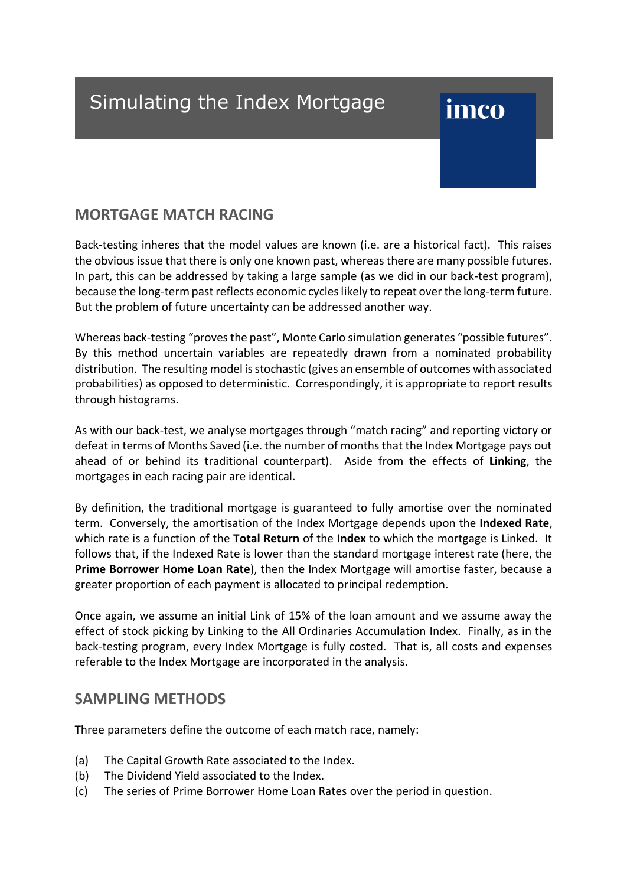# Simulating the Index Mortgage

# imco

## **MORTGAGE MATCH RACING**

Back-testing inheres that the model values are known (i.e. are a historical fact). This raises the obvious issue that there is only one known past, whereas there are many possible futures. In part, this can be addressed by taking a large sample (as we did in our back-test program), because the long-term past reflects economic cycles likely to repeat over the long-term future. But the problem of future uncertainty can be addressed another way.

Whereas back-testing "proves the past", Monte Carlo simulation generates "possible futures". By this method uncertain variables are repeatedly drawn from a nominated probability distribution. The resulting model is stochastic (gives an ensemble of outcomes with associated probabilities) as opposed to deterministic. Correspondingly, it is appropriate to report results through histograms.

As with our back-test, we analyse mortgages through "match racing" and reporting victory or defeat in terms of Months Saved (i.e. the number of months that the Index Mortgage pays out ahead of or behind its traditional counterpart). Aside from the effects of **Linking**, the mortgages in each racing pair are identical.

By definition, the traditional mortgage is guaranteed to fully amortise over the nominated term. Conversely, the amortisation of the Index Mortgage depends upon the **Indexed Rate**, which rate is a function of the **Total Return** of the **Index** to which the mortgage is Linked. It follows that, if the Indexed Rate is lower than the standard mortgage interest rate (here, the **Prime Borrower Home Loan Rate**), then the Index Mortgage will amortise faster, because a greater proportion of each payment is allocated to principal redemption.

Once again, we assume an initial Link of 15% of the loan amount and we assume away the effect of stock picking by Linking to the All Ordinaries Accumulation Index. Finally, as in the back-testing program, every Index Mortgage is fully costed. That is, all costs and expenses referable to the Index Mortgage are incorporated in the analysis.

## **SAMPLING METHODS**

Three parameters define the outcome of each match race, namely:

- (a) The Capital Growth Rate associated to the Index.
- (b) The Dividend Yield associated to the Index.
- (c) The series of Prime Borrower Home Loan Rates over the period in question.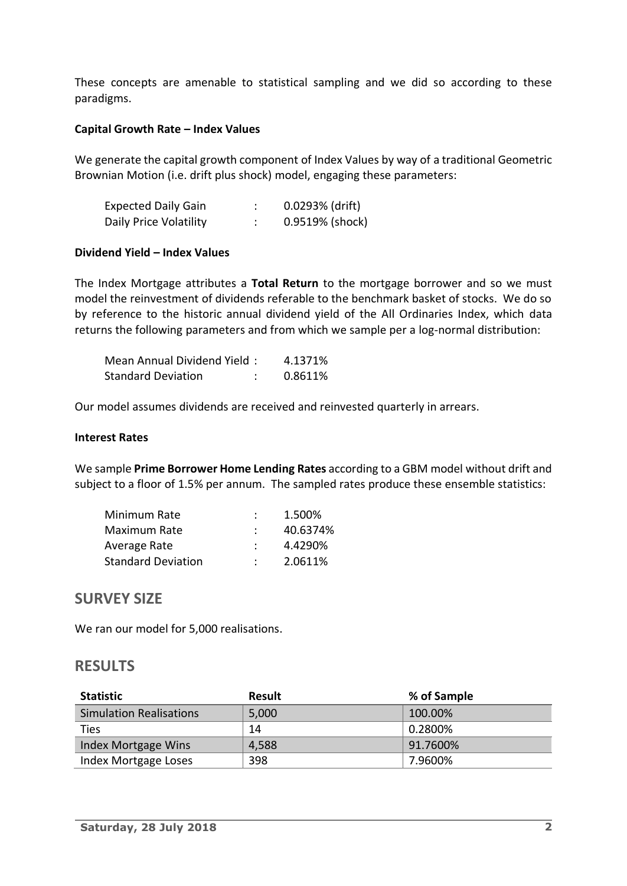These concepts are amenable to statistical sampling and we did so according to these paradigms.

#### **Capital Growth Rate – Index Values**

We generate the capital growth component of Index Values by way of a traditional Geometric Brownian Motion (i.e. drift plus shock) model, engaging these parameters:

| <b>Expected Daily Gain</b> | $0.0293%$ (drift) |
|----------------------------|-------------------|
| Daily Price Volatility     | 0.9519% (shock)   |

#### **Dividend Yield – Index Values**

The Index Mortgage attributes a **Total Return** to the mortgage borrower and so we must model the reinvestment of dividends referable to the benchmark basket of stocks. We do so by reference to the historic annual dividend yield of the All Ordinaries Index, which data returns the following parameters and from which we sample per a log-normal distribution:

| Mean Annual Dividend Yield: | 4.1371% |
|-----------------------------|---------|
| <b>Standard Deviation</b>   | 0.8611% |

Our model assumes dividends are received and reinvested quarterly in arrears.

#### **Interest Rates**

We sample **Prime Borrower Home Lending Rates** according to a GBM model without drift and subject to a floor of 1.5% per annum. The sampled rates produce these ensemble statistics:

| Minimum Rate              | 1.500%   |
|---------------------------|----------|
| Maximum Rate              | 40.6374% |
| Average Rate              | 4.4290%  |
| <b>Standard Deviation</b> | 2.0611%  |

### **SURVEY SIZE**

We ran our model for 5,000 realisations.

### **RESULTS**

| <b>Statistic</b>        | <b>Result</b> | % of Sample |
|-------------------------|---------------|-------------|
| Simulation Realisations | 5,000         | 100.00%     |
| Ties                    | 14            | 0.2800%     |
| Index Mortgage Wins     | 4,588         | 91.7600%    |
| Index Mortgage Loses    | 398           | 7.9600%     |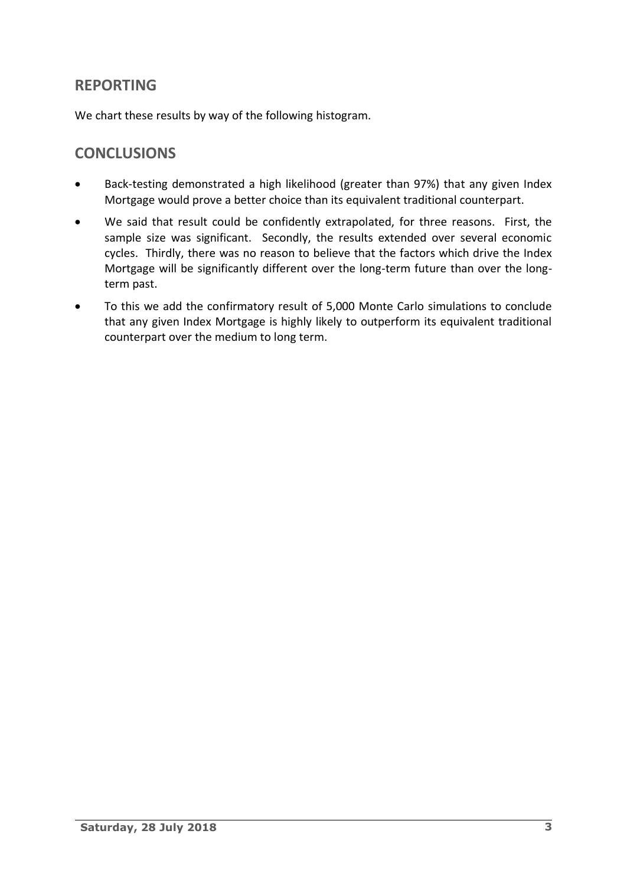# **REPORTING**

We chart these results by way of the following histogram.

## **CONCLUSIONS**

- Back-testing demonstrated a high likelihood (greater than 97%) that any given Index Mortgage would prove a better choice than its equivalent traditional counterpart.
- We said that result could be confidently extrapolated, for three reasons. First, the sample size was significant. Secondly, the results extended over several economic cycles. Thirdly, there was no reason to believe that the factors which drive the Index Mortgage will be significantly different over the long-term future than over the longterm past.
- To this we add the confirmatory result of 5,000 Monte Carlo simulations to conclude that any given Index Mortgage is highly likely to outperform its equivalent traditional counterpart over the medium to long term.